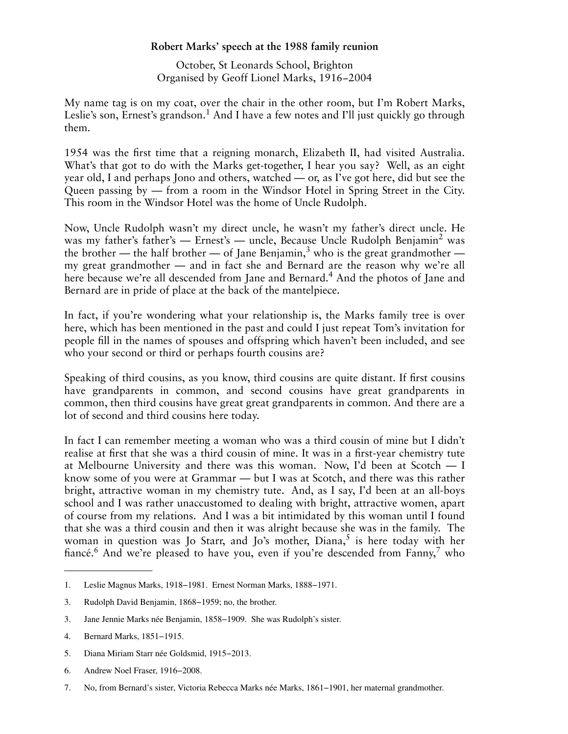## **Robert Marks' speech at the 1988 family reunion**

October, St Leonards School, Brighton Organised by Geoff Lionel Marks, 1916−2004

My name tag is on my coat, over the chair in the other room, but I'm Robert Marks, Leslie's son, Ernest's grandson.<sup>1</sup> And I have a few notes and I'll just quickly go through them.

1954 was the first time that a reigning monarch, Elizabeth II, had visited Australia. What's that got to do with the Marks get-together, I hear you say? Well, as an eight year old, I and perhaps Jono and others, watched — or, as I've got here, did but see the Queen passing by — from a room in the Windsor Hotel in Spring Street in the City. This room in the Windsor Hotel was the home of Uncle Rudolph.

Now, Uncle Rudolph wasn't my direct uncle, he wasn't my father's direct uncle. He was my father's father's — Ernest's — uncle, Because Uncle Rudolph Benjamin<sup>2</sup> was the brother — the half brother — of Jane Benjamin,<sup>3</sup> who is the great grandmother my great grandmother — and in fact she and Bernard are the reason why we're all here because we're all descended from Jane and Bernard.<sup>4</sup> And the photos of Jane and Bernard are in pride of place at the back of the mantelpiece.

In fact, if you're wondering what your relationship is, the Marks family tree is over here, which has been mentioned in the past and could I just repeat Tom's invitation for people fill in the names of spouses and offspring which haven't been included, and see who your second or third or perhaps fourth cousins are?

Speaking of third cousins, as you know, third cousins are quite distant. If first cousins have grandparents in common, and second cousins have great grandparents in common, then third cousins have great great grandparents in common. And there are a lot of second and third cousins here today.

In fact I can remember meeting a woman who was a third cousin of mine but I didn't realise at first that she was a third cousin of mine. It was in a first-year chemistry tute at Melbourne University and there was this woman. Now, I'd been at Scotch — I know some of you were at Grammar — but I was at Scotch, and there was this rather bright, attractive woman in my chemistry tute. And, as I say, I'd been at an all-boys school and I was rather unaccustomed to dealing with bright, attractive women, apart of course from my relations. And I was a bit intimidated by this woman until I found that she was a third cousin and then it was alright because she was in the family. The woman in question was Jo Starr, and Jo's mother, Diana, $^5$  is here today with her fiancé.<sup>6</sup> And we're pleased to have you, even if you're descended from Fanny,<sup>7</sup> who

- 5. Diana Miriam Starr née Goldsmid, 1915−2013.
- 6. Andrew Noel Fraser, 1916−2008.

<sup>1.</sup> Leslie Magnus Marks, 1918−1981. Ernest Norman Marks, 1888−1971.

<sup>3.</sup> Rudolph David Benjamin, 1868−1959; no, the brother.

<sup>3.</sup> Jane Jennie Marks née Benjamin, 1858−1909. She was Rudolph's sister.

<sup>4.</sup> Bernard Marks, 1851−1915.

<sup>7.</sup> No, from Bernard's sister, Victoria Rebecca Marks née Marks, 1861−1901, her maternal grandmother.